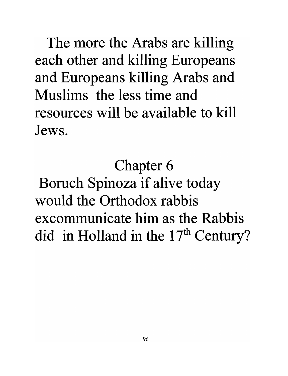The more the Arabs are killing each other and killing Europeans and Europeans killing Arabs and Muslims the less time and resources will be available to kill Jews.

Chapter 6

Boruch Spinoza if alive today would the Orthodox rabbis excommunicate him as the Rabbis did in Holland in the  $17<sup>th</sup>$  Century?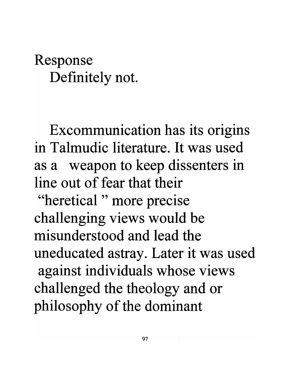## Response Definitely not.

Excommunication has its origins in Talmudic literature. It was used as a weapon to keep dissenters in line out of fear that their "heretical " more precise

challenging views would be misunderstood and lead the uneducated astray. Later it was used against individuals whose views challenged the theology and or philosophy of the dominant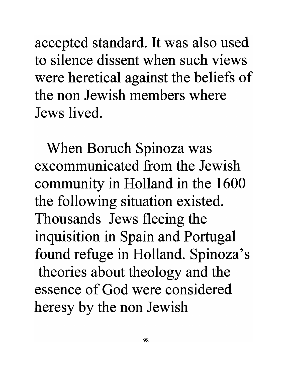accepted standard. It was also used to silence dissent when such views were heretical against the beliefs of the non Jewish members where Jews lived.

When Boruch Spinoza was excommunicated from the Jewish community in Holland in the 1600 the following situation existed. Thousands Jews fleeing the inquisition in Spain and Portugal found refuge in Holland. Spinoza's theories about theology and the essence of God were considered heresy by the non Jewish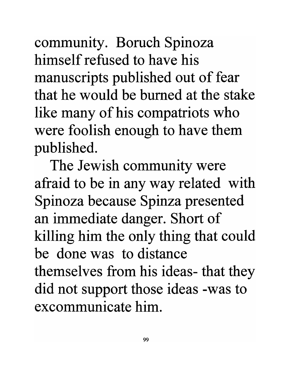community. Boruch Spinoza himself refused to have his manuscripts published out of fear that he would be burned at the stake like many of his compatriots who were foolish enough to have them published.

The Jewish community were afraid to be in any way related with Spinoza because Spinza presented an immediate danger. Short of killing him the only thing that could be done was to distance themselves from his ideas- that they did not support those ideas -was to excommunicate him.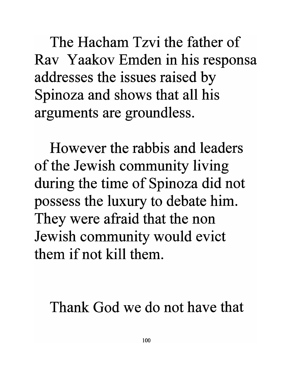The Hacham Tzvi the father of Rav Yaakov Emden in his responsa addresses the issues raised by Spinoza and shows that all his arguments are groundless.

However the rabbis and leaders of the Jewish community living during the time of Spinoza did not possess the luxury to debate him. They were afraid that the non Jewish community would evict them if not kill them.

Thank God we do not have that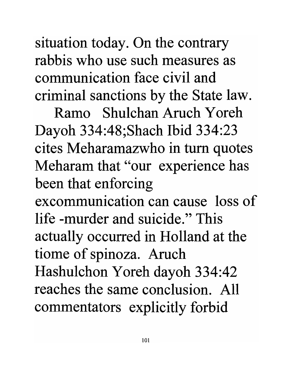situation today. On the contrary rabbis who use such measures as communication face civil and criminal sanctions by the State law.

Ramo Shulchan Aruch Y oreh Dayoh 334:48;Shach Ibid 334:23 cites Meharamazwho in turn quotes Meharam that "our experience has been that enforcing

excommunication can cause loss of life -murder and suicide." This actually occurred in Holland at the tiome of spinoza. Aruch Hashulchon Y oreh dayoh 334:42 reaches the same conclusion. All commentators explicitly forbid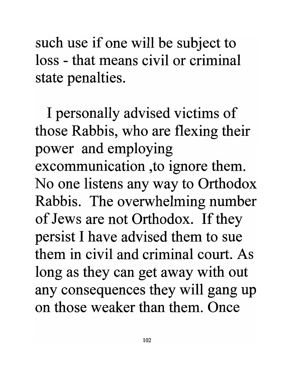such use if one will be subject to loss - that means civil or criminal state penalties.

I personally advised victims of those Rabbis, who are flexing their power and employing excommunication ,to ignore them. No one listens any way to Orthodox Rabbis. The overwhelming number of Jews are not Orthodox. If they persist I have advised them to sue them in civil and criminal court. As long as they can get away with out any consequences they will gang up on those weaker than them. Once